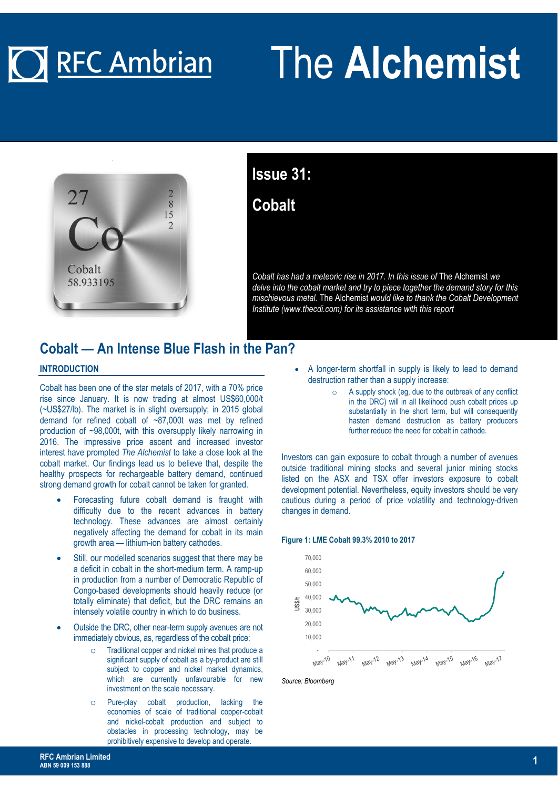# **O** RFC Ambrian

# The **Alchemist**



### **Issue 31: Cobalt**

*Cobalt has had a meteoric rise in 2017. In this issue of* The Alchemist *we delve into the cobalt market and try to piece together the demand story for this mischievous metal.* The Alchemist *would like to thank the Cobalt Development Institute (www.thecdi.com) for its assistance with this report* 

#### **Cobalt — An Intense Blue Flash in the Pan?**

#### **INTRODUCTION**

Cobalt has been one of the star metals of 2017, with a 70% price rise since January. It is now trading at almost US\$60,000/t (~US\$27/lb). The market is in slight oversupply; in 2015 global demand for refined cobalt of ~87,000t was met by refined production of ~98,000t, with this oversupply likely narrowing in 2016. The impressive price ascent and increased investor interest have prompted *The Alchemist* to take a close look at the cobalt market. Our findings lead us to believe that, despite the healthy prospects for rechargeable battery demand, continued strong demand growth for cobalt cannot be taken for granted.

- Forecasting future cobalt demand is fraught with difficulty due to the recent advances in battery technology. These advances are almost certainly negatively affecting the demand for cobalt in its main growth area — lithium-ion battery cathodes.
- Still, our modelled scenarios suggest that there may be a deficit in cobalt in the short-medium term. A ramp-up in production from a number of Democratic Republic of Congo-based developments should heavily reduce (or totally eliminate) that deficit, but the DRC remains an intensely volatile country in which to do business.
- Outside the DRC, other near-term supply avenues are not immediately obvious, as, regardless of the cobalt price:
	- o Traditional copper and nickel mines that produce a significant supply of cobalt as a by-product are still subject to copper and nickel market dynamics, which are currently unfavourable for new investment on the scale necessary.
	- o Pure-play cobalt production, lacking the economies of scale of traditional copper-cobalt and nickel-cobalt production and subject to obstacles in processing technology, may be prohibitively expensive to develop and operate.
- A longer-term shortfall in supply is likely to lead to demand destruction rather than a supply increase:
	- o A supply shock (eg, due to the outbreak of any conflict in the DRC) will in all likelihood push cobalt prices up substantially in the short term, but will consequently hasten demand destruction as battery producers further reduce the need for cobalt in cathode.

Investors can gain exposure to cobalt through a number of avenues outside traditional mining stocks and several junior mining stocks listed on the ASX and TSX offer investors exposure to cobalt development potential. Nevertheless, equity investors should be very cautious during a period of price volatility and technology-driven changes in demand.





*Source: Bloomberg*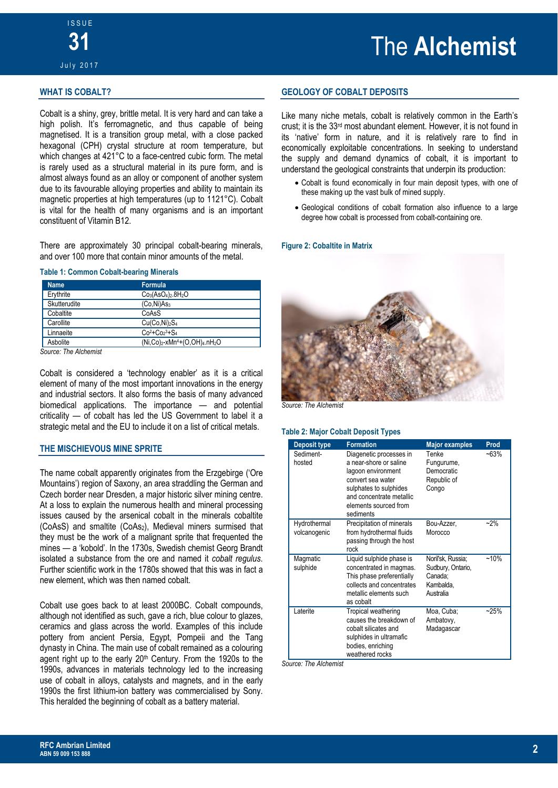#### **WHAT IS COBALT?**

Cobalt is a shiny, grey, brittle metal. It is very hard and can take a high polish. It's ferromagnetic, and thus capable of being magnetised. It is a transition group metal, with a close packed hexagonal (CPH) crystal structure at room temperature, but which changes at 421°C to a face-centred cubic form. The metal is rarely used as a structural material in its pure form, and is almost always found as an alloy or component of another system due to its favourable alloying properties and ability to maintain its magnetic properties at high temperatures (up to 1121°C). Cobalt is vital for the health of many organisms and is an important constituent of Vitamin B12.

There are approximately 30 principal cobalt-bearing minerals, and over 100 more that contain minor amounts of the metal.

#### **Table 1: Common Cobalt-bearing Minerals**

| <b>Name</b>  | <b>Formula</b>                                                                 |
|--------------|--------------------------------------------------------------------------------|
| Erythrite    | $Co3(AsO4)2.8H2O$                                                              |
| Skutterudite | (Co.Ni)As3                                                                     |
| Cobaltite    | CoAsS                                                                          |
| Carollite    | Cu(Co,Ni) <sub>2</sub> S <sub>4</sub>                                          |
| Linnaeite    | $Co^{2} + Co^{3} + S_{4}$                                                      |
| Asbolite     | (Ni,Co) <sub>2</sub> -xMn <sup>4</sup> +(O,OH) <sub>4</sub> .nH <sub>2</sub> O |

*Source: The Alchemist* 

Cobalt is considered a 'technology enabler' as it is a critical element of many of the most important innovations in the energy and industrial sectors. It also forms the basis of many advanced biomedical applications. The importance — and potential criticality — of cobalt has led the US Government to label it a strategic metal and the EU to include it on a list of critical metals.

#### **THE MISCHIEVOUS MINE SPRITE**

The name cobalt apparently originates from the Erzgebirge ('Ore Mountains') region of Saxony, an area straddling the German and Czech border near Dresden, a major historic silver mining centre. At a loss to explain the numerous health and mineral processing issues caused by the arsenical cobalt in the minerals cobaltite (CoAsS) and smaltite (CoAs2), Medieval miners surmised that they must be the work of a malignant sprite that frequented the mines — a 'kobold'. In the 1730s, Swedish chemist Georg Brandt isolated a substance from the ore and named it *cobalt regulus*. Further scientific work in the 1780s showed that this was in fact a new element, which was then named cobalt.

Cobalt use goes back to at least 2000BC. Cobalt compounds, although not identified as such, gave a rich, blue colour to glazes, ceramics and glass across the world. Examples of this include pottery from ancient Persia, Egypt, Pompeii and the Tang dynasty in China. The main use of cobalt remained as a colouring agent right up to the early 20<sup>th</sup> Century. From the 1920s to the 1990s, advances in materials technology led to the increasing use of cobalt in alloys, catalysts and magnets, and in the early 1990s the first lithium-ion battery was commercialised by Sony. This heralded the beginning of cobalt as a battery material.

#### **GEOLOGY OF COBALT DEPOSITS**

Like many niche metals, cobalt is relatively common in the Earth's crust; it is the 33rd most abundant element. However, it is not found in its 'native' form in nature, and it is relatively rare to find in economically exploitable concentrations. In seeking to understand the supply and demand dynamics of cobalt, it is important to understand the geological constraints that underpin its production:

- Cobalt is found economically in four main deposit types, with one of these making up the vast bulk of mined supply.
- Geological conditions of cobalt formation also influence to a large degree how cobalt is processed from cobalt-containing ore.

#### **Figure 2: Cobaltite in Matrix**



**Source: The Alchemist** 

#### **Table 2: Major Cobalt Deposit Types**

| <b>Deposit type</b>          | <b>Formation</b>                                                                                                                                                                         | <b>Major examples</b>                                                       | Prod    |
|------------------------------|------------------------------------------------------------------------------------------------------------------------------------------------------------------------------------------|-----------------------------------------------------------------------------|---------|
| Sediment-<br>hosted          | Diagenetic processes in<br>a near-shore or saline<br>lagoon environment<br>convert sea water<br>sulphates to sulphides<br>and concentrate metallic<br>elements sourced from<br>sediments | Tenke<br>Fungurume,<br>Democratic<br>Republic of<br>Congo                   | $-63%$  |
| Hydrothermal<br>volcanogenic | Precipitation of minerals<br>from hydrothermal fluids<br>passing through the host<br>rock                                                                                                | Bou-Azzer,<br>Morocco                                                       | $-2%$   |
| Magmatic<br>sulphide         | Liquid sulphide phase is<br>concentrated in magmas.<br>This phase preferentially<br>collects and concentrates<br>metallic elements such<br>as cobalt                                     | Noril'sk, Russia;<br>Sudbury, Ontario,<br>Canada:<br>Kambalda,<br>Australia | $~10\%$ |
| Laterite                     | Tropical weathering<br>causes the breakdown of<br>cobalt silicates and<br>sulphides in ultramafic<br>bodies, enriching<br>weathered rocks                                                | Moa, Cuba;<br>Ambatovy,<br>Madagascar                                       | $-25%$  |

*Source: The Alchemist*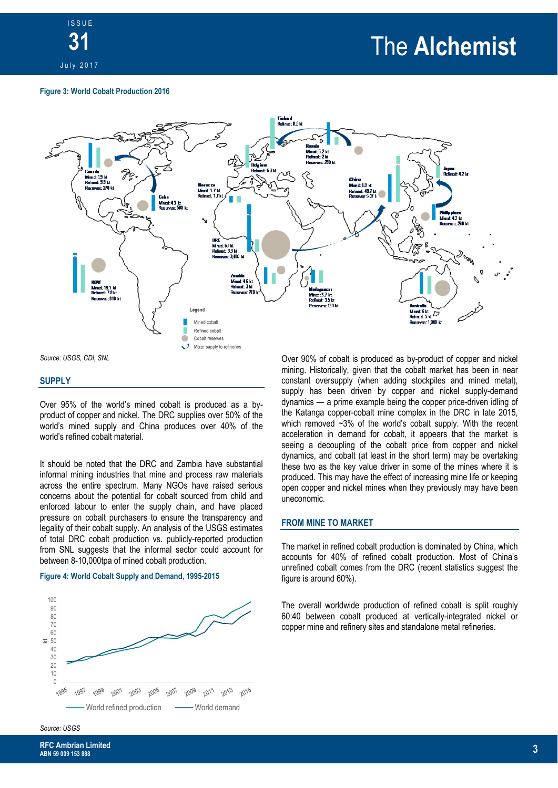

### The **Alchemist**

#### **Figure 3: World Cobalt Production 2016**



*Source: USGS, CDI, SNL* 

#### **SUPPLY**

Over 95% of the world's mined cobalt is produced as a byproduct of copper and nickel. The DRC supplies over 50% of the world's mined supply and China produces over 40% of the world's refined cobalt material.

It should be noted that the DRC and Zambia have substantial informal mining industries that mine and process raw materials across the entire spectrum. Many NGOs have raised serious concerns about the potential for cobalt sourced from child and enforced labour to enter the supply chain, and have placed pressure on cobalt purchasers to ensure the transparency and legality of their cobalt supply. An analysis of the USGS estimates of total DRC cobalt production vs. publicly-reported production from SNL suggests that the informal sector could account for between 8-10,000tpa of mined cobalt production.

#### **Figure 4: World Cobalt Supply and Demand, 1995-2015**



Over 90% of cobalt is produced as by-product of copper and nickel mining. Historically, given that the cobalt market has been in near constant oversupply (when adding stockpiles and mined metal), supply has been driven by copper and nickel supply-demand dynamics — a prime example being the copper price-driven idling of the Katanga copper-cobalt mine complex in the DRC in late 2015, which removed ~3% of the world's cobalt supply. With the recent acceleration in demand for cobalt, it appears that the market is seeing a decoupling of the cobalt price from copper and nickel dynamics, and cobalt (at least in the short term) may be overtaking these two as the key value driver in some of the mines where it is produced. This may have the effect of increasing mine life or keeping open copper and nickel mines when they previously may have been uneconomic.

#### **FROM MINE TO MARKET**

The market in refined cobalt production is dominated by China, which accounts for 40% of refined cobalt production. Most of China's unrefined cobalt comes from the DRC (recent statistics suggest the figure is around 60%).

The overall worldwide production of refined cobalt is split roughly 60:40 between cobalt produced at vertically-integrated nickel or copper mine and refinery sites and standalone metal refineries.

#### *Source: USGS*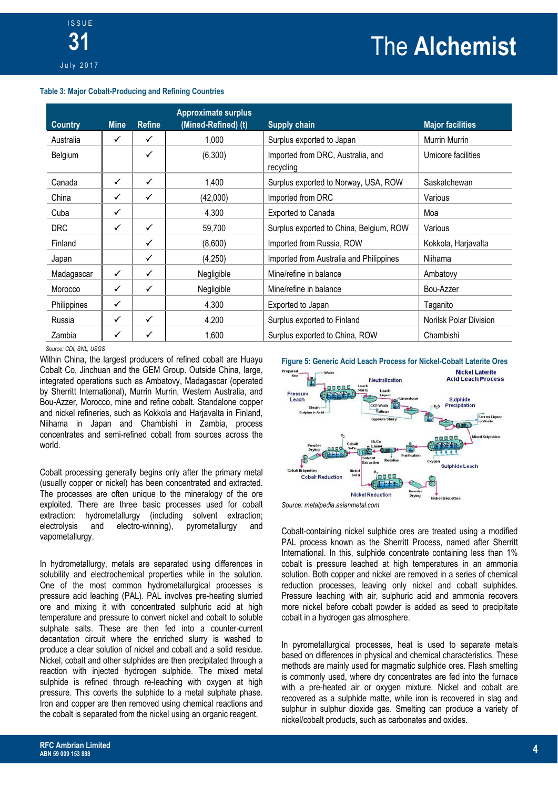## The **Alchemist**

#### **Table 3: Major Cobalt-Producing and Refining Countries**

| <b>Country</b> | <b>Mine</b>  | <b>Refine</b> | <b>Approximate surplus</b><br>(Mined-Refined) (t) | <b>Supply chain</b>                            | <b>Major facilities</b> |
|----------------|--------------|---------------|---------------------------------------------------|------------------------------------------------|-------------------------|
| Australia      | ✓            | ✓             | 1.000                                             | Surplus exported to Japan                      | Murrin Murrin           |
| Belgium        |              | ✓             | (6,300)                                           | Imported from DRC, Australia, and<br>recycling | Umicore facilities      |
| Canada         | ✓            | ✓             | 1.400                                             | Surplus exported to Norway, USA, ROW           | Saskatchewan            |
| China          | $\checkmark$ | $\checkmark$  | (42,000)                                          | Imported from DRC                              | Various                 |
| Cuba           | $\checkmark$ |               | 4,300                                             | <b>Exported to Canada</b>                      | Moa                     |
| <b>DRC</b>     | $\checkmark$ | ✓             | 59,700                                            | Surplus exported to China, Belgium, ROW        | Various                 |
| Finland        |              | ✓             | (8,600)                                           | Imported from Russia, ROW                      | Kokkola, Harjavalta     |
| Japan          |              | ✓             | (4,250)                                           | Imported from Australia and Philippines        | Niihama                 |
| Madagascar     | $\checkmark$ | ✓             | Negligible                                        | Mine/refine in balance                         | Ambatovy                |
| Morocco        | $\checkmark$ | $\checkmark$  | Negligible                                        | Mine/refine in balance                         | Bou-Azzer               |
| Philippines    | $\checkmark$ |               | 4,300                                             | Exported to Japan                              | Taganito                |
| Russia         | ✓            | $\checkmark$  | 4,200                                             | Surplus exported to Finland                    | Norilsk Polar Division  |
| Zambia         | $\checkmark$ | ✓             | 1.600                                             | Surplus exported to China, ROW                 | Chambishi               |

#### *Source: CDI, SNL, USGS*

Within China, the largest producers of refined cobalt are Huayu Cobalt Co, Jinchuan and the GEM Group. Outside China, large, integrated operations such as Ambatovy, Madagascar (operated by Sherritt International), Murrin Murrin, Western Australia, and Bou-Azzer, Morocco, mine and refine cobalt. Standalone copper and nickel refineries, such as Kokkola and Harjavalta in Finland, Niihama in Japan and Chambishi in Zambia, process concentrates and semi-refined cobalt from sources across the world.

Cobalt processing generally begins only after the primary metal (usually copper or nickel) has been concentrated and extracted. The processes are often unique to the mineralogy of the ore exploited. There are three basic processes used for cobalt extraction: hydrometallurgy (including solvent extraction;<br>electrolysis and electro-winning), pyrometallurgy and electrolysis and electro-winning), pyrometallurgy and vapometallurgy.

In hydrometallurgy, metals are separated using differences in solubility and electrochemical properties while in the solution. One of the most common hydrometallurgical processes is pressure acid leaching (PAL). PAL involves pre-heating slurried ore and mixing it with concentrated sulphuric acid at high temperature and pressure to convert nickel and cobalt to soluble sulphate salts. These are then fed into a counter-current decantation circuit where the enriched slurry is washed to produce a clear solution of nickel and cobalt and a solid residue. Nickel, cobalt and other sulphides are then precipitated through a reaction with injected hydrogen sulphide. The mixed metal sulphide is refined through re-leaching with oxygen at high pressure. This coverts the sulphide to a metal sulphate phase. Iron and copper are then removed using chemical reactions and the cobalt is separated from the nickel using an organic reagent.



*Source: metalpedia.asianmetal.com* 

Cobalt-containing nickel sulphide ores are treated using a modified PAL process known as the Sherritt Process, named after Sherritt International. In this, sulphide concentrate containing less than 1% cobalt is pressure leached at high temperatures in an ammonia solution. Both copper and nickel are removed in a series of chemical reduction processes, leaving only nickel and cobalt sulphides. Pressure leaching with air, sulphuric acid and ammonia recovers more nickel before cobalt powder is added as seed to precipitate cobalt in a hydrogen gas atmosphere.

In pyrometallurgical processes, heat is used to separate metals based on differences in physical and chemical characteristics. These methods are mainly used for magmatic sulphide ores. Flash smelting is commonly used, where dry concentrates are fed into the furnace with a pre-heated air or oxygen mixture. Nickel and cobalt are recovered as a sulphide matte, while iron is recovered in slag and sulphur in sulphur dioxide gas. Smelting can produce a variety of nickel/cobalt products, such as carbonates and oxides.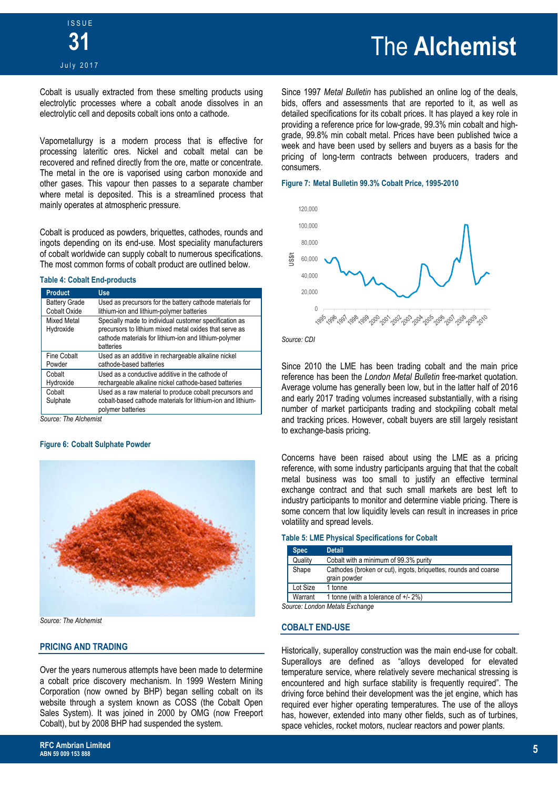Cobalt is usually extracted from these smelting products using electrolytic processes where a cobalt anode dissolves in an electrolytic cell and deposits cobalt ions onto a cathode.

Vapometallurgy is a modern process that is effective for processing lateritic ores. Nickel and cobalt metal can be recovered and refined directly from the ore, matte or concentrate. The metal in the ore is vaporised using carbon monoxide and other gases. This vapour then passes to a separate chamber where metal is deposited. This is a streamlined process that mainly operates at atmospheric pressure.

Cobalt is produced as powders, briquettes, cathodes, rounds and ingots depending on its end-use. Most speciality manufacturers of cobalt worldwide can supply cobalt to numerous specifications. The most common forms of cobalt product are outlined below.

#### **Table 4: Cobalt End-products**

| <b>Product</b>                              | <b>Use</b>                                                                                                                                                                             |
|---------------------------------------------|----------------------------------------------------------------------------------------------------------------------------------------------------------------------------------------|
| <b>Battery Grade</b><br><b>Cobalt Oxide</b> | Used as precursors for the battery cathode materials for<br>lithium-ion and lithium-polymer batteries                                                                                  |
| <b>Mixed Metal</b><br>Hydroxide             | Specially made to individual customer specification as<br>precursors to lithium mixed metal oxides that serve as<br>cathode materials for lithium-ion and lithium-polymer<br>batteries |
| <b>Fine Cobalt</b><br>Powder                | Used as an additive in rechargeable alkaline nickel<br>cathode-based batteries                                                                                                         |
| Cobalt<br>Hydroxide                         | Used as a conductive additive in the cathode of<br>rechargeable alkaline nickel cathode-based batteries                                                                                |
| Cobalt<br>Sulphate                          | Used as a raw material to produce cobalt precursors and<br>cobalt-based cathode materials for lithium-ion and lithium-<br>polymer batteries                                            |

*Source: The Alchemist* 

#### **Figure 6: Cobalt Sulphate Powder**



*Source: The Alchemist*

#### **PRICING AND TRADING**

Over the years numerous attempts have been made to determine a cobalt price discovery mechanism. In 1999 Western Mining Corporation (now owned by BHP) began selling cobalt on its website through a system known as COSS (the Cobalt Open Sales System). It was joined in 2000 by OMG (now Freeport Cobalt), but by 2008 BHP had suspended the system.

### The **Alchemist**

Since 1997 *Metal Bulletin* has published an online log of the deals, bids, offers and assessments that are reported to it, as well as detailed specifications for its cobalt prices. It has played a key role in providing a reference price for low-grade, 99.3% min cobalt and highgrade, 99.8% min cobalt metal. Prices have been published twice a week and have been used by sellers and buyers as a basis for the pricing of long-term contracts between producers, traders and consumers.

#### **Figure 7: Metal Bulletin 99.3% Cobalt Price, 1995-2010**



*Source: CDI* 

Since 2010 the LME has been trading cobalt and the main price reference has been the *London Metal Bulletin* free-market quotation. Average volume has generally been low, but in the latter half of 2016 and early 2017 trading volumes increased substantially, with a rising number of market participants trading and stockpiling cobalt metal and tracking prices. However, cobalt buyers are still largely resistant to exchange-basis pricing.

Concerns have been raised about using the LME as a pricing reference, with some industry participants arguing that that the cobalt metal business was too small to justify an effective terminal exchange contract and that such small markets are best left to industry participants to monitor and determine viable pricing. There is some concern that low liquidity levels can result in increases in price volatility and spread levels.

#### **Table 5: LME Physical Specifications for Cobalt**

| <b>Spec</b> | <b>Detail</b>                                                                   |
|-------------|---------------------------------------------------------------------------------|
| Quality     | Cobalt with a minimum of 99.3% purity                                           |
| Shape       | Cathodes (broken or cut), ingots, briquettes, rounds and coarse<br>grain powder |
| Lot Size    | 1 tonne                                                                         |
| Warrant     | 1 tonne (with a tolerance of $+/- 2\%)$                                         |
|             | Source: London Metals Exchange                                                  |

#### **COBALT END-USE**

Historically, superalloy construction was the main end-use for cobalt. Superalloys are defined as "alloys developed for elevated temperature service, where relatively severe mechanical stressing is encountered and high surface stability is frequently required". The driving force behind their development was the jet engine, which has required ever higher operating temperatures. The use of the alloys has, however, extended into many other fields, such as of turbines, space vehicles, rocket motors, nuclear reactors and power plants.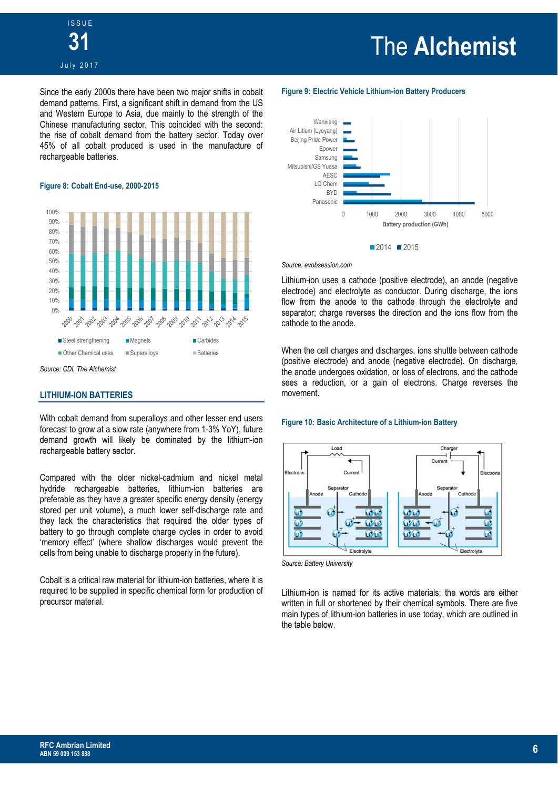Since the early 2000s there have been two major shifts in cobalt demand patterns. First, a significant shift in demand from the US and Western Europe to Asia, due mainly to the strength of the Chinese manufacturing sector. This coincided with the second: the rise of cobalt demand from the battery sector. Today over 45% of all cobalt produced is used in the manufacture of rechargeable batteries.

#### **Figure 8: Cobalt End-use, 2000-2015**



*Source: CDI, The Alchemist*

#### **LITHIUM-ION BATTERIES**

With cobalt demand from superalloys and other lesser end users forecast to grow at a slow rate (anywhere from 1-3% YoY), future demand growth will likely be dominated by the lithium-ion rechargeable battery sector.

Compared with the older nickel-cadmium and nickel metal hydride rechargeable batteries, lithium-ion batteries are preferable as they have a greater specific energy density (energy stored per unit volume), a much lower self-discharge rate and they lack the characteristics that required the older types of battery to go through complete charge cycles in order to avoid 'memory effect' (where shallow discharges would prevent the cells from being unable to discharge properly in the future).

Cobalt is a critical raw material for lithium-ion batteries, where it is required to be supplied in specific chemical form for production of precursor material.

## The **Alchemist**

#### **Figure 9: Electric Vehicle Lithium-ion Battery Producers**



#### *Source: evobsession.com*

Lithium-ion uses a cathode (positive electrode), an anode (negative electrode) and electrolyte as conductor. During discharge, the ions flow from the anode to the cathode through the electrolyte and separator; charge reverses the direction and the ions flow from the cathode to the anode.

When the cell charges and discharges, ions shuttle between cathode (positive electrode) and anode (negative electrode). On discharge, the anode undergoes oxidation, or loss of electrons, and the cathode sees a reduction, or a gain of electrons. Charge reverses the movement.

#### **Figure 10: Basic Architecture of a Lithium-ion Battery**



*Source: Battery University*

Lithium-ion is named for its active materials; the words are either written in full or shortened by their chemical symbols. There are five main types of lithium-ion batteries in use today, which are outlined in the table below.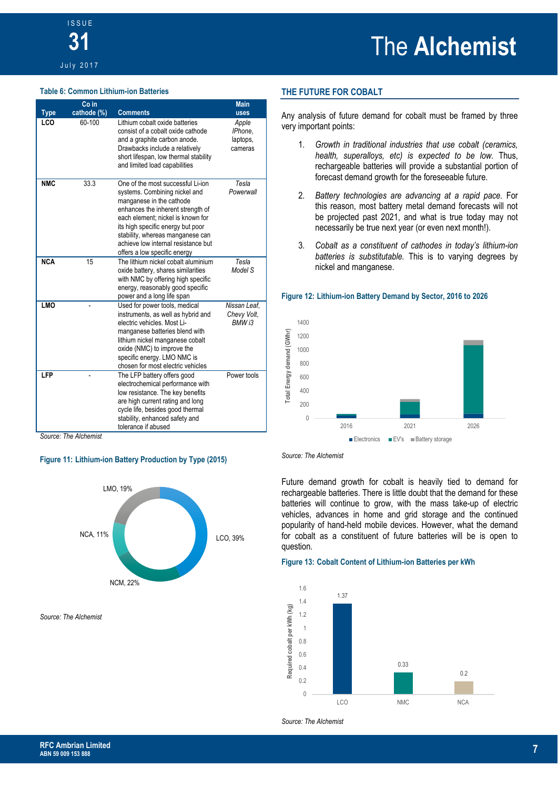#### **Table 6: Common Lithium-ion Batteries**

|             | Co in                |                                                                                                                                                                                                                                                                                                                          | <b>Main</b>                             |
|-------------|----------------------|--------------------------------------------------------------------------------------------------------------------------------------------------------------------------------------------------------------------------------------------------------------------------------------------------------------------------|-----------------------------------------|
| <b>Type</b> | cathode (%)          | <b>Comments</b>                                                                                                                                                                                                                                                                                                          | <b>uses</b>                             |
| LCO         | 60-100               | Lithium cobalt oxide batteries<br>consist of a cobalt oxide cathode<br>and a graphite carbon anode.<br>Drawbacks include a relatively<br>short lifespan, low thermal stability<br>and limited load capabilities                                                                                                          | Apple<br>IPhone,<br>laptops,<br>cameras |
| <b>NMC</b>  | 33.3                 | One of the most successful Li-ion<br>systems. Combining nickel and<br>manganese in the cathode<br>enhances the inherent strength of<br>each element: nickel is known for<br>its high specific energy but poor<br>stability, whereas manganese can<br>achieve low internal resistance but<br>offers a low specific energy | Tesla<br>Powerwall                      |
| <b>NCA</b>  | 15                   | The lithium nickel cobalt aluminium<br>oxide battery, shares similarities<br>with NMC by offering high specific<br>energy, reasonably good specific<br>power and a long life span                                                                                                                                        | Tesla<br>Model S                        |
| <b>LMO</b>  |                      | Used for power tools, medical<br>instruments, as well as hybrid and<br>electric vehicles. Most Li-<br>manganese batteries blend with<br>lithium nickel manganese cobalt<br>oxide (NMC) to improve the<br>specific energy. LMO NMC is<br>chosen for most electric vehicles                                                | Nissan Leaf.<br>Chevy Volt,<br>BMW i3   |
| LFP         | Course The Alchamict | The LFP battery offers good<br>electrochemical performance with<br>low resistance. The key benefits<br>are high current rating and long<br>cycle life, besides good thermal<br>stability, enhanced safety and<br>tolerance if abused                                                                                     | Power tools                             |

*Source: The Alchemist* 

#### **Figure 11: Lithium-ion Battery Production by Type (2015)**



*Source: The Alchemist*

#### **THE FUTURE FOR COBALT**

Any analysis of future demand for cobalt must be framed by three very important points:

- 1. *Growth in traditional industries that use cobalt (ceramics, health, superalloys, etc) is expected to be low.* Thus, rechargeable batteries will provide a substantial portion of forecast demand growth for the foreseeable future.
- 2. *Battery technologies are advancing at a rapid pace.* For this reason, most battery metal demand forecasts will not be projected past 2021, and what is true today may not necessarily be true next year (or even next month!).
- 3. *Cobalt as a constituent of cathodes in today's lithium-ion batteries is substitutable.* This is to varying degrees by nickel and manganese.

#### **Figure 12: Lithium-ion Battery Demand by Sector, 2016 to 2026**





Future demand growth for cobalt is heavily tied to demand for rechargeable batteries. There is little doubt that the demand for these batteries will continue to grow, with the mass take-up of electric vehicles, advances in home and grid storage and the continued popularity of hand-held mobile devices. However, what the demand for cobalt as a constituent of future batteries will be is open to question.

#### **Figure 13: Cobalt Content of Lithium-ion Batteries per kWh**



*Source: The Alchemist*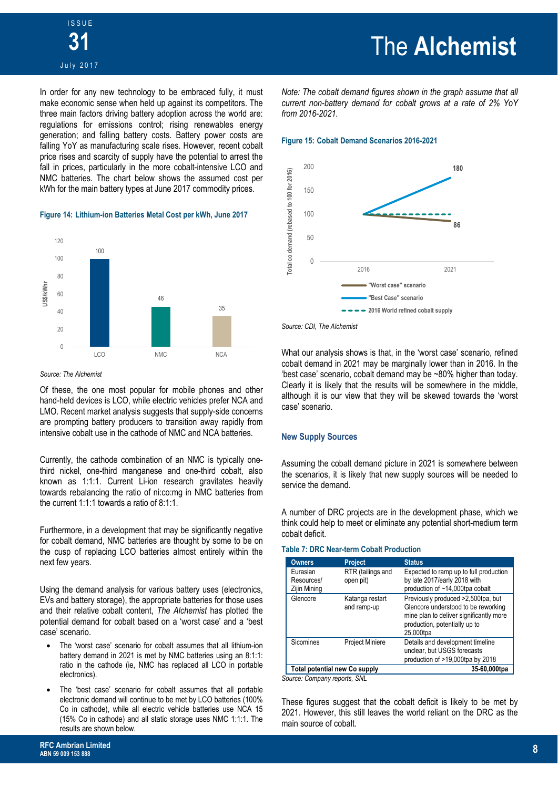### The **Alchemist**

In order for any new technology to be embraced fully, it must make economic sense when held up against its competitors. The three main factors driving battery adoption across the world are: regulations for emissions control; rising renewables energy generation; and falling battery costs. Battery power costs are falling YoY as manufacturing scale rises. However, recent cobalt price rises and scarcity of supply have the potential to arrest the fall in prices, particularly in the more cobalt-intensive LCO and NMC batteries. The chart below shows the assumed cost per kWh for the main battery types at June 2017 commodity prices.

#### **Figure 14: Lithium-ion Batteries Metal Cost per kWh, June 2017**



#### *Source: The Alchemist*

Of these, the one most popular for mobile phones and other hand-held devices is LCO, while electric vehicles prefer NCA and LMO. Recent market analysis suggests that supply-side concerns are prompting battery producers to transition away rapidly from intensive cobalt use in the cathode of NMC and NCA batteries.

Currently, the cathode combination of an NMC is typically onethird nickel, one-third manganese and one-third cobalt, also known as 1:1:1. Current Li-ion research gravitates heavily towards rebalancing the ratio of ni:co:mg in NMC batteries from the current 1:1:1 towards a ratio of 8:1:1.

Furthermore, in a development that may be significantly negative for cobalt demand, NMC batteries are thought by some to be on the cusp of replacing LCO batteries almost entirely within the next few years.

Using the demand analysis for various battery uses (electronics, EVs and battery storage), the appropriate batteries for those uses and their relative cobalt content, *The Alchemist* has plotted the potential demand for cobalt based on a 'worst case' and a 'best case' scenario.

- The 'worst case' scenario for cobalt assumes that all lithium-ion battery demand in 2021 is met by NMC batteries using an 8:1:1: ratio in the cathode (ie, NMC has replaced all LCO in portable electronics).
- The 'best case' scenario for cobalt assumes that all portable electronic demand will continue to be met by LCO batteries (100% Co in cathode), while all electric vehicle batteries use NCA 15 (15% Co in cathode) and all static storage uses NMC 1:1:1. The results are shown below.

*Note: The cobalt demand figures shown in the graph assume that all current non-battery demand for cobalt grows at a rate of 2% YoY from 2016-2021.* 

#### **Figure 15: Cobalt Demand Scenarios 2016-2021**



*Source: CDI, The Alchemist*

What our analysis shows is that, in the 'worst case' scenario, refined cobalt demand in 2021 may be marginally lower than in 2016. In the 'best case' scenario, cobalt demand may be ~80% higher than today. Clearly it is likely that the results will be somewhere in the middle, although it is our view that they will be skewed towards the 'worst case' scenario.

#### **New Supply Sources**

Assuming the cobalt demand picture in 2021 is somewhere between the scenarios, it is likely that new supply sources will be needed to service the demand.

A number of DRC projects are in the development phase, which we think could help to meet or eliminate any potential short-medium term cobalt deficit.

#### **Table 7: DRC Near-term Cobalt Production**

| <b>Owners</b>                          | <b>Project</b>                 | <b>Status</b>                                                                                                                                                      |  |  |  |  |
|----------------------------------------|--------------------------------|--------------------------------------------------------------------------------------------------------------------------------------------------------------------|--|--|--|--|
| Eurasian<br>Resources/<br>Zijin Mining | RTR (tailings and<br>open pit) | Expected to ramp up to full production<br>by late 2017/early 2018 with<br>production of $~14,000$ tpa cobalt                                                       |  |  |  |  |
| Glencore                               | Katanga restart<br>and ramp-up | Previously produced >2,500tpa, but<br>Glencore understood to be reworking<br>mine plan to deliver significantly more<br>production, potentially up to<br>25,000tpa |  |  |  |  |
| Sicomines                              | <b>Project Miniere</b>         | Details and development timeline<br>unclear, but USGS forecasts<br>production of >19,000tpa by 2018                                                                |  |  |  |  |
| <b>Total potential new Co supply</b>   |                                | 35-60,000tpa                                                                                                                                                       |  |  |  |  |
|                                        |                                |                                                                                                                                                                    |  |  |  |  |

*Source: Company reports, SNL* 

These figures suggest that the cobalt deficit is likely to be met by 2021. However, this still leaves the world reliant on the DRC as the main source of cobalt.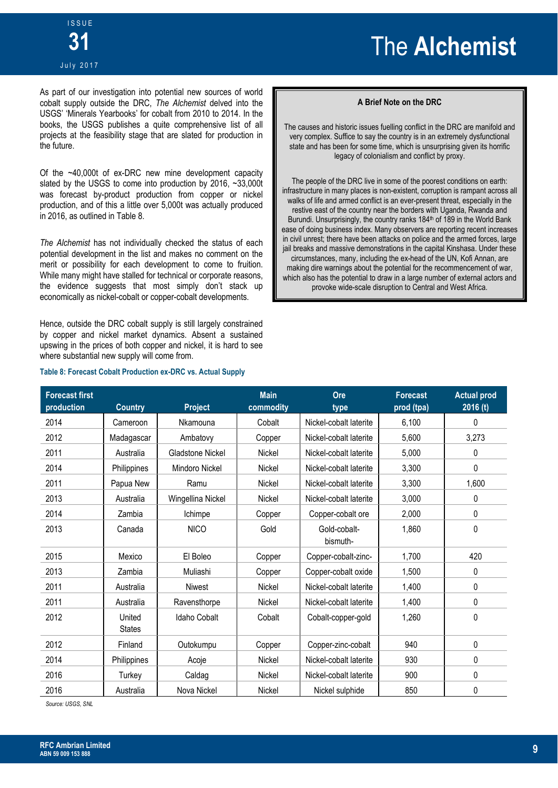#### July 2017

As part of our investigation into potential new sources of world cobalt supply outside the DRC, *The Alchemist* delved into the USGS' 'Minerals Yearbooks' for cobalt from 2010 to 2014. In the books, the USGS publishes a quite comprehensive list of all projects at the feasibility stage that are slated for production in the future.

Of the ~40,000t of ex-DRC new mine development capacity slated by the USGS to come into production by 2016, ~33,000t was forecast by-product production from copper or nickel production, and of this a little over 5,000t was actually produced in 2016, as outlined in Table 8.

*The Alchemist* has not individually checked the status of each potential development in the list and makes no comment on the merit or possibility for each development to come to fruition. While many might have stalled for technical or corporate reasons, the evidence suggests that most simply don't stack up economically as nickel-cobalt or copper-cobalt developments.

Hence, outside the DRC cobalt supply is still largely constrained by copper and nickel market dynamics. Absent a sustained upswing in the prices of both copper and nickel, it is hard to see where substantial new supply will come from.

#### **Table 8: Forecast Cobalt Production ex-DRC vs. Actual Supply**

#### **A Brief Note on the DRC**

The causes and historic issues fuelling conflict in the DRC are manifold and very complex. Suffice to say the country is in an extremely dysfunctional state and has been for some time, which is unsurprising given its horrific legacy of colonialism and conflict by proxy.

The people of the DRC live in some of the poorest conditions on earth: infrastructure in many places is non-existent, corruption is rampant across all walks of life and armed conflict is an ever-present threat, especially in the restive east of the country near the borders with Uganda, Rwanda and Burundi. Unsurprisingly, the country ranks 184<sup>th</sup> of 189 in the World Bank ease of doing business index. Many observers are reporting recent increases in civil unrest; there have been attacks on police and the armed forces, large jail breaks and massive demonstrations in the capital Kinshasa. Under these circumstances, many, including the ex-head of the UN, Kofi Annan, are making dire warnings about the potential for the recommencement of war, which also has the potential to draw in a large number of external actors and provoke wide-scale disruption to Central and West Africa.

| <b>Forecast first</b><br>production | <b>Country</b>          | Project                 | <b>Main</b><br>commodity | Ore<br>type              | <b>Forecast</b><br>prod (tpa) | <b>Actual prod</b><br>2016 (t) |
|-------------------------------------|-------------------------|-------------------------|--------------------------|--------------------------|-------------------------------|--------------------------------|
| 2014                                | Cameroon                | Nkamouna                | Cobalt                   | Nickel-cobalt laterite   | 6,100                         | 0                              |
| 2012                                | Madagascar              | Ambatovy                | Copper                   | Nickel-cobalt laterite   | 5,600                         | 3,273                          |
| 2011                                | Australia               | <b>Gladstone Nickel</b> | Nickel                   | Nickel-cobalt laterite   | 5,000                         | 0                              |
| 2014                                | Philippines             | Mindoro Nickel          | <b>Nickel</b>            | Nickel-cobalt laterite   | 3,300                         | 0                              |
| 2011                                | Papua New               | Ramu                    | <b>Nickel</b>            | Nickel-cobalt laterite   | 3,300                         | 1,600                          |
| 2013                                | Australia               | Wingellina Nickel       | Nickel                   | Nickel-cobalt laterite   | 3,000                         | 0                              |
| 2014                                | Zambia                  | Ichimpe                 | Copper                   | Copper-cobalt ore        | 2,000                         | 0                              |
| 2013                                | Canada                  | <b>NICO</b>             | Gold                     | Gold-cobalt-<br>bismuth- | 1,860                         | 0                              |
| 2015                                | Mexico                  | El Boleo                | Copper                   | Copper-cobalt-zinc-      | 1,700                         | 420                            |
| 2013                                | Zambia                  | Muliashi                | Copper                   | Copper-cobalt oxide      | 1,500                         | 0                              |
| 2011                                | Australia               | Niwest                  | Nickel                   | Nickel-cobalt laterite   | 1,400                         | 0                              |
| 2011                                | Australia               | Ravensthorpe            | <b>Nickel</b>            | Nickel-cobalt laterite   | 1,400                         | 0                              |
| 2012                                | United<br><b>States</b> | Idaho Cobalt            | Cobalt                   | Cobalt-copper-gold       | 1,260                         | 0                              |
| 2012                                | Finland                 | Outokumpu               | Copper                   | Copper-zinc-cobalt       | 940                           | 0                              |
| 2014                                | Philippines             | Acoje                   | Nickel                   | Nickel-cobalt laterite   | 930                           | 0                              |
| 2016                                | Turkey                  | Caldag                  | Nickel                   | Nickel-cobalt laterite   | 900                           | 0                              |
| 2016                                | Australia               | Nova Nickel             | Nickel                   | Nickel sulphide          | 850                           | 0                              |

*Source: USGS, SNL*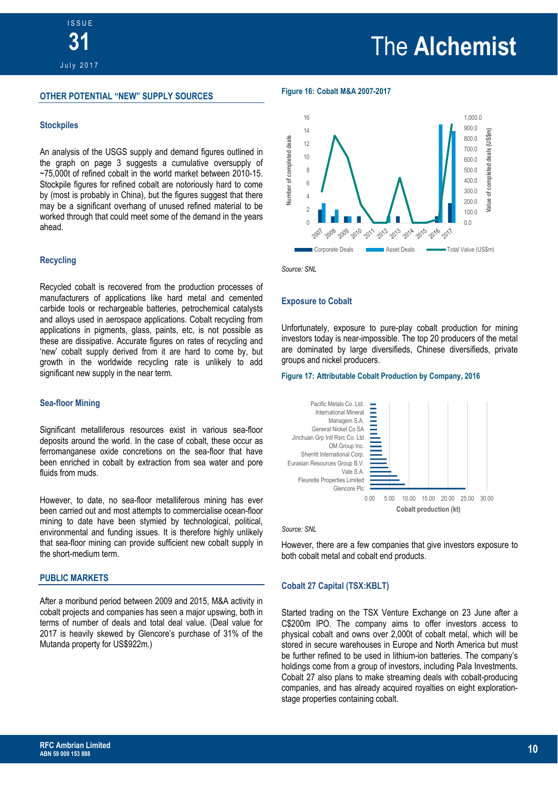#### **OTHER POTENTIAL "NEW" SUPPLY SOURCES**

#### **Stockpiles**

An analysis of the USGS supply and demand figures outlined in the graph on page 3 suggests a cumulative oversupply of ~75,000t of refined cobalt in the world market between 2010-15. Stockpile figures for refined cobalt are notoriously hard to come by (most is probably in China), but the figures suggest that there may be a significant overhang of unused refined material to be worked through that could meet some of the demand in the years ahead.

#### **Recycling**

Recycled cobalt is recovered from the production processes of manufacturers of applications like hard metal and cemented carbide tools or rechargeable batteries, petrochemical catalysts and alloys used in aerospace applications. Cobalt recycling from applications in pigments, glass, paints, etc, is not possible as these are dissipative. Accurate figures on rates of recycling and 'new' cobalt supply derived from it are hard to come by, but growth in the worldwide recycling rate is unlikely to add significant new supply in the near term.

#### **Sea-floor Mining**

Significant metalliferous resources exist in various sea-floor deposits around the world. In the case of cobalt, these occur as ferromanganese oxide concretions on the sea-floor that have been enriched in cobalt by extraction from sea water and pore fluids from muds.

However, to date, no sea-floor metalliferous mining has ever been carried out and most attempts to commercialise ocean-floor mining to date have been stymied by technological, political, environmental and funding issues. It is therefore highly unlikely that sea-floor mining can provide sufficient new cobalt supply in the short-medium term.

#### **PUBLIC MARKETS**

After a moribund period between 2009 and 2015, M&A activity in cobalt projects and companies has seen a major upswing, both in terms of number of deals and total deal value. (Deal value for 2017 is heavily skewed by Glencore's purchase of 31% of the Mutanda property for US\$922m.)

**Figure 16: Cobalt M&A 2007-2017** 



*Source: SNL*

#### **Exposure to Cobalt**

Unfortunately, exposure to pure-play cobalt production for mining investors today is near-impossible. The top 20 producers of the metal are dominated by large diversifieds, Chinese diversifieds, private groups and nickel producers.

#### **Figure 17: Attributable Cobalt Production by Company, 2016**



*Source: SNL*

However, there are a few companies that give investors exposure to both cobalt metal and cobalt end products.

#### **Cobalt 27 Capital (TSX:KBLT)**

Started trading on the TSX Venture Exchange on 23 June after a C\$200m IPO. The company aims to offer investors access to physical cobalt and owns over 2,000t of cobalt metal, which will be stored in secure warehouses in Europe and North America but must be further refined to be used in lithium-ion batteries. The company's holdings come from a group of investors, including Pala Investments. Cobalt 27 also plans to make streaming deals with cobalt-producing companies, and has already acquired royalties on eight explorationstage properties containing cobalt.

### The **Alchemist**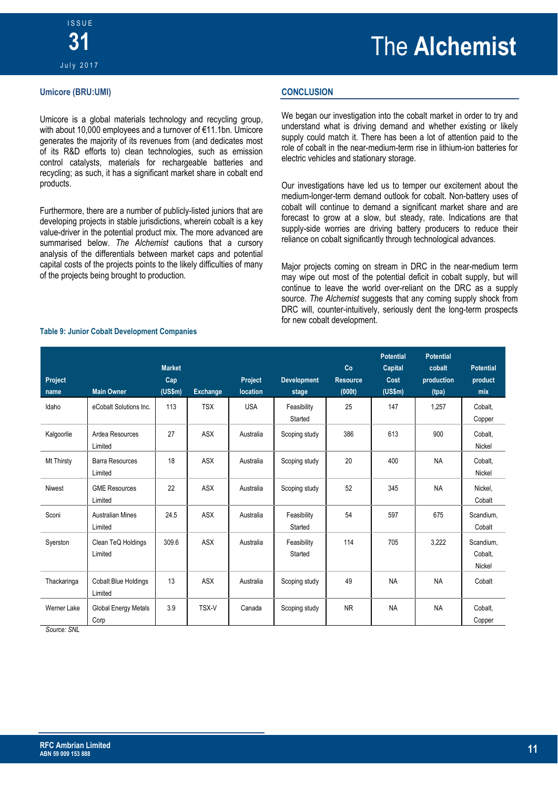#### **Umicore (BRU:UMI)**

Umicore is a global materials technology and recycling group, with about 10,000 employees and a turnover of €11.1bn. Umicore generates the majority of its revenues from (and dedicates most of its R&D efforts to) clean technologies, such as emission control catalysts, materials for rechargeable batteries and recycling; as such, it has a significant market share in cobalt end products.

Furthermore, there are a number of publicly-listed juniors that are developing projects in stable jurisdictions, wherein cobalt is a key value-driver in the potential product mix. The more advanced are summarised below. *The Alchemist* cautions that a cursory analysis of the differentials between market caps and potential capital costs of the projects points to the likely difficulties of many of the projects being brought to production.

#### **CONCLUSION**

We began our investigation into the cobalt market in order to try and understand what is driving demand and whether existing or likely supply could match it. There has been a lot of attention paid to the role of cobalt in the near-medium-term rise in lithium-ion batteries for electric vehicles and stationary storage.

Our investigations have led us to temper our excitement about the medium-longer-term demand outlook for cobalt. Non-battery uses of cobalt will continue to demand a significant market share and are forecast to grow at a slow, but steady, rate. Indications are that supply-side worries are driving battery producers to reduce their reliance on cobalt significantly through technological advances.

Major projects coming on stream in DRC in the near-medium term may wipe out most of the potential deficit in cobalt supply, but will continue to leave the world over-reliant on the DRC as a supply source. *The Alchemist* suggests that any coming supply shock from DRC will, counter-intuitively, seriously dent the long-term prospects for new cobalt development.

| Project<br>name | <b>Main Owner</b>                      | <b>Market</b><br>Cap<br>(US\$m) | <b>Exchange</b> | Project<br>location | <b>Development</b><br>stage | Co<br><b>Resource</b><br>(000t) | <b>Potential</b><br>Capital<br>Cost<br>(US\$m) | <b>Potential</b><br>cobalt<br>production<br>(tpa) | <b>Potential</b><br>product<br>mix |
|-----------------|----------------------------------------|---------------------------------|-----------------|---------------------|-----------------------------|---------------------------------|------------------------------------------------|---------------------------------------------------|------------------------------------|
| Idaho           | eCobalt Solutions Inc.                 | 113                             | <b>TSX</b>      | <b>USA</b>          | Feasibility<br>Started      | 25                              | 147                                            | 1.257                                             | Cobalt,<br>Copper                  |
| Kalgoorlie      | Ardea Resources<br>Limited             | 27                              | <b>ASX</b>      | Australia           | Scoping study               | 386                             | 613                                            | 900                                               | Cobalt,<br>Nickel                  |
| Mt Thirsty      | <b>Barra Resources</b><br>Limited      | 18                              | <b>ASX</b>      | Australia           | Scoping study               | 20                              | 400                                            | <b>NA</b>                                         | Cobalt,<br>Nickel                  |
| <b>Niwest</b>   | <b>GME Resources</b><br>Limited        | 22                              | <b>ASX</b>      | Australia           | Scoping study               | 52                              | 345                                            | <b>NA</b>                                         | Nickel,<br>Cobalt                  |
| Sconi           | <b>Australian Mines</b><br>Limited     | 24.5                            | <b>ASX</b>      | Australia           | Feasibility<br>Started      | 54                              | 597                                            | 675                                               | Scandium,<br>Cobalt                |
| Syerston        | Clean TeQ Holdings<br>Limited          | 309.6                           | <b>ASX</b>      | Australia           | Feasibility<br>Started      | 114                             | 705                                            | 3.222                                             | Scandium.<br>Cobalt,<br>Nickel     |
| Thackaringa     | <b>Cobalt Blue Holdings</b><br>Limited | 13                              | <b>ASX</b>      | Australia           | Scoping study               | 49                              | <b>NA</b>                                      | <b>NA</b>                                         | Cobalt                             |
| Werner Lake     | Global Energy Metals<br>Corp           | 3.9                             | TSX-V           | Canada              | Scoping study               | <b>NR</b>                       | <b>NA</b>                                      | <b>NA</b>                                         | Cobalt,<br>Copper                  |

#### **Table 9: Junior Cobalt Development Companies**

*Source: SNL*